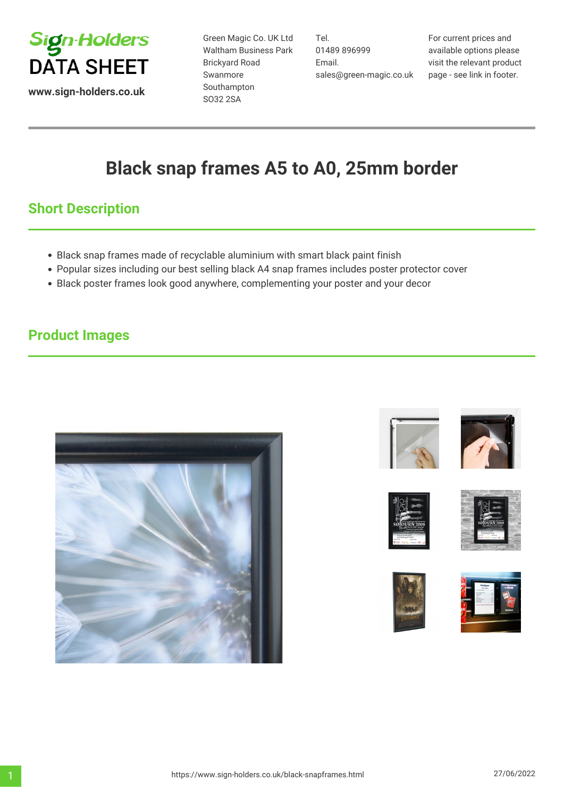

**www.sign-holders.co.uk**

Green Magic Co. UK Ltd Waltham Business Park Brickyard Road Swanmore Southampton SO32 2SA

Tel. 01489 896999 Email. sales@green-magic.co.uk

For current prices and available options please visit the relevant product page - see link in footer.

# **Black snap frames A5 to A0, 25mm border**

## **Short Description**

- Black snap frames made of recyclable aluminium with smart black paint finish
- Popular sizes including our best selling black A4 snap frames includes poster protector cover
- Black poster frames look good anywhere, complementing your poster and your decor

### **Product Images**













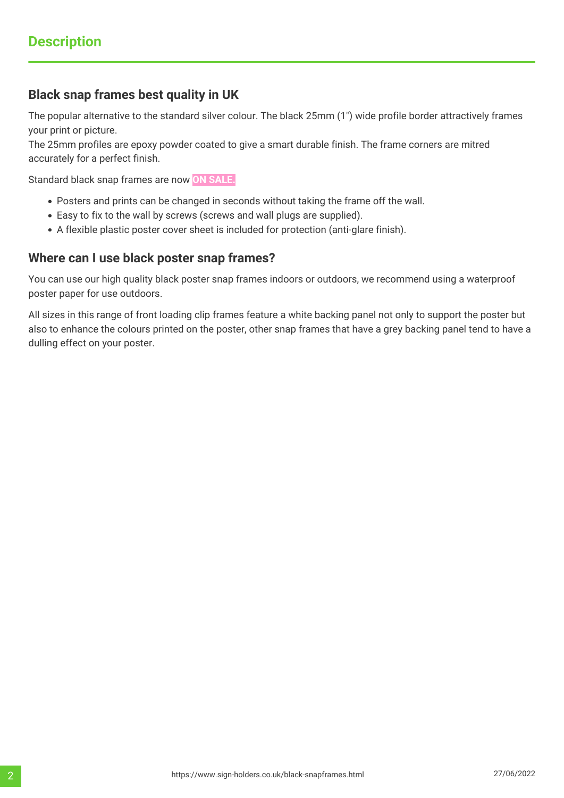#### **Black snap frames best quality in UK**

The popular alternative to the standard silver colour. The black 25mm (1") wide profile border attractively frames your print or picture.

The 25mm profiles are epoxy powder coated to give a smart durable finish. The frame corners are mitred accurately for a perfect finish.

Standard black snap frames are now **ON SALE.**

- Posters and prints can be changed in seconds without taking the frame off the wall.
- Easy to fix to the wall by screws (screws and wall plugs are supplied).
- A flexible plastic poster cover sheet is included for protection (anti-glare finish).

#### **Where can I use black poster snap frames?**

You can use our high quality black poster snap frames indoors or outdoors, we recommend using a waterproof poster paper for use outdoors.

All sizes in this range of front loading clip frames feature a white backing panel not only to support the poster but also to enhance the colours printed on the poster, other snap frames that have a grey backing panel tend to have a dulling effect on your poster.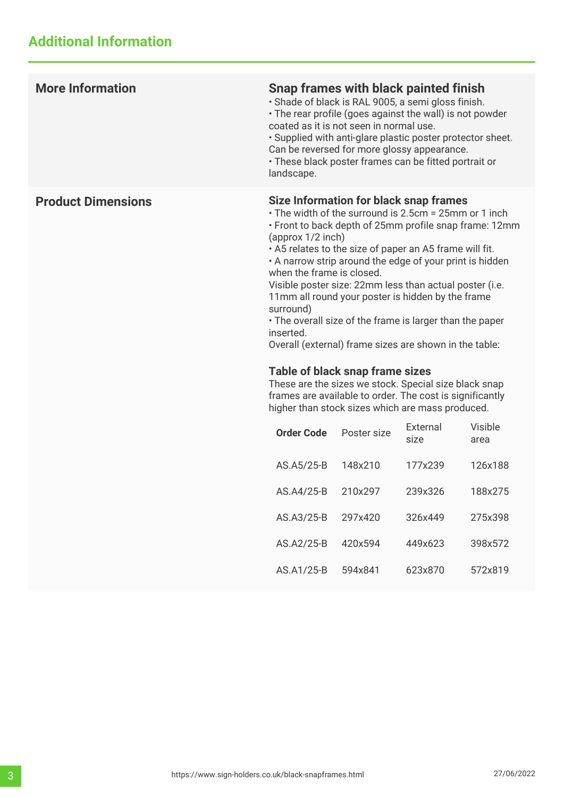| <b>More Information</b>   | Snap frames with black painted finish<br>· Shade of black is RAL 9005, a semi gloss finish.<br>• The rear profile (goes against the wall) is not powder<br>coated as it is not seen in normal use.<br>· Supplied with anti-glare plastic poster protector sheet.<br>Can be reversed for more glossy appearance.<br>· These black poster frames can be fitted portrait or<br>landscape.                                                                                                                                                                                                                                                                                                                                                                                                                         |             |                  |                 |
|---------------------------|----------------------------------------------------------------------------------------------------------------------------------------------------------------------------------------------------------------------------------------------------------------------------------------------------------------------------------------------------------------------------------------------------------------------------------------------------------------------------------------------------------------------------------------------------------------------------------------------------------------------------------------------------------------------------------------------------------------------------------------------------------------------------------------------------------------|-------------|------------------|-----------------|
| <b>Product Dimensions</b> | Size Information for black snap frames<br>• The width of the surround is 2.5cm = 25mm or 1 inch<br>• Front to back depth of 25mm profile snap frame: 12mm<br>(approx 1/2 inch)<br>. A5 relates to the size of paper an A5 frame will fit.<br>• A narrow strip around the edge of your print is hidden<br>when the frame is closed.<br>Visible poster size: 22mm less than actual poster (i.e.<br>11mm all round your poster is hidden by the frame<br>surround)<br>• The overall size of the frame is larger than the paper<br>inserted.<br>Overall (external) frame sizes are shown in the table:<br>Table of black snap frame sizes<br>These are the sizes we stock. Special size black snap<br>frames are available to order. The cost is significantly<br>higher than stock sizes which are mass produced. |             |                  |                 |
|                           | <b>Order Code</b>                                                                                                                                                                                                                                                                                                                                                                                                                                                                                                                                                                                                                                                                                                                                                                                              | Poster size | External<br>size | Visible<br>area |
|                           | AS.A5/25-B                                                                                                                                                                                                                                                                                                                                                                                                                                                                                                                                                                                                                                                                                                                                                                                                     | 148x210     | 177x239          | 126x188         |
|                           | AS.A4/25-B                                                                                                                                                                                                                                                                                                                                                                                                                                                                                                                                                                                                                                                                                                                                                                                                     | 210x297     | 239x326          | 188x275         |
|                           | AS.A3/25-B                                                                                                                                                                                                                                                                                                                                                                                                                                                                                                                                                                                                                                                                                                                                                                                                     | 297x420     | 326x449          | 275x398         |
|                           | AS.A2/25-B                                                                                                                                                                                                                                                                                                                                                                                                                                                                                                                                                                                                                                                                                                                                                                                                     | 420x594     | 449x623          | 398x572         |
|                           | AS.A1/25-B                                                                                                                                                                                                                                                                                                                                                                                                                                                                                                                                                                                                                                                                                                                                                                                                     | 594x841     | 623x870          | 572x819         |